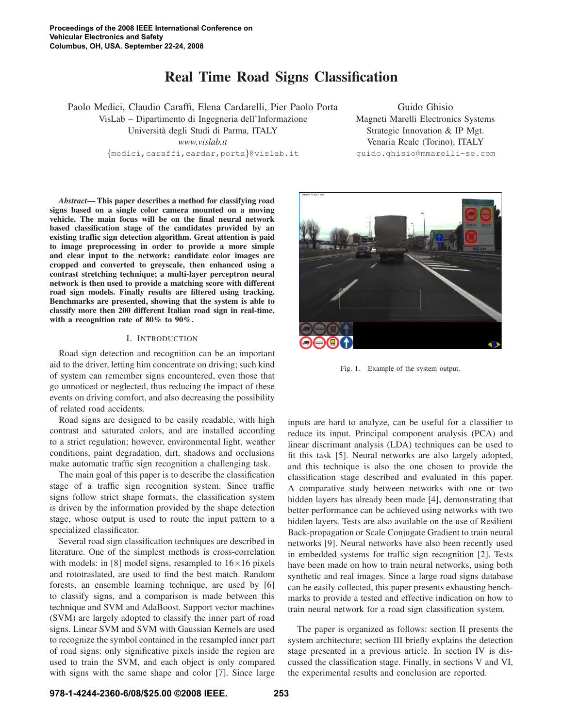# **Real Time Road Signs Classification**

Paolo Medici, Claudio Caraffi, Elena Cardarelli, Pier Paolo Porta

VisLab – Dipartimento di Ingegneria dell'Informazione

Università degli Studi di Parma, ITALY

*www.vislab.it*

{medici,caraffi,cardar,porta}@vislab.it

Guido Ghisio Magneti Marelli Electronics Systems Strategic Innovation & IP Mgt. Venaria Reale (Torino), ITALY guido.ghisio@mmarelli-se.com

*Abstract***— This paper describes a method for classifying road signs based on a single color camera mounted on a moving vehicle. The main focus will be on the final neural network based classification stage of the candidates provided by an existing traffic sign detection algorithm. Great attention is paid to image preprocessing in order to provide a more simple and clear input to the network: candidate color images are cropped and converted to greyscale, then enhanced using a contrast stretching technique; a multi-layer perceptron neural network is then used to provide a matching score with different road sign models. Finally results are filtered using tracking. Benchmarks are presented, showing that the system is able to classify more then 200 different Italian road sign in real-time, with a recognition rate of 80% to 90%.**

# I. INTRODUCTION

Road sign detection and recognition can be an important aid to the driver, letting him concentrate on driving; such kind of system can remember signs encountered, even those that go unnoticed or neglected, thus reducing the impact of these events on driving comfort, and also decreasing the possibility of related road accidents.

Road signs are designed to be easily readable, with high contrast and saturated colors, and are installed according to a strict regulation; however, environmental light, weather conditions, paint degradation, dirt, shadows and occlusions make automatic traffic sign recognition a challenging task.

The main goal of this paper is to describe the classification stage of a traffic sign recognition system. Since traffic signs follow strict shape formats, the classification system is driven by the information provided by the shape detection stage, whose output is used to route the input pattern to a specialized classificator.

Several road sign classification techniques are described in literature. One of the simplest methods is cross-correlation with models: in [8] model signs, resampled to  $16 \times 16$  pixels and rototraslated, are used to find the best match. Random forests, an ensemble learning technique, are used by [6] to classify signs, and a comparison is made between this technique and SVM and AdaBoost. Support vector machines (SVM) are largely adopted to classify the inner part of road signs. Linear SVM and SVM with Gaussian Kernels are used to recognize the symbol contained in the resampled inner part of road signs: only significative pixels inside the region are used to train the SVM, and each object is only compared with signs with the same shape and color [7]. Since large



Fig. 1. Example of the system output.

inputs are hard to analyze, can be useful for a classifier to reduce its input. Principal component analysis (PCA) and linear discrimant analysis (LDA) techniques can be used to fit this task [5]. Neural networks are also largely adopted, and this technique is also the one chosen to provide the classification stage described and evaluated in this paper. A comparative study between networks with one or two hidden layers has already been made [4], demonstrating that better performance can be achieved using networks with two hidden layers. Tests are also available on the use of Resilient Back-propagation or Scale Conjugate Gradient to train neural networks [9]. Neural networks have also been recently used in embedded systems for traffic sign recognition [2]. Tests have been made on how to train neural networks, using both synthetic and real images. Since a large road signs database can be easily collected, this paper presents exhausting benchmarks to provide a tested and effective indication on how to train neural network for a road sign classification system.

The paper is organized as follows: section II presents the system architecture; section III briefly explains the detection stage presented in a previous article. In section IV is discussed the classification stage. Finally, in sections V and VI, the experimental results and conclusion are reported.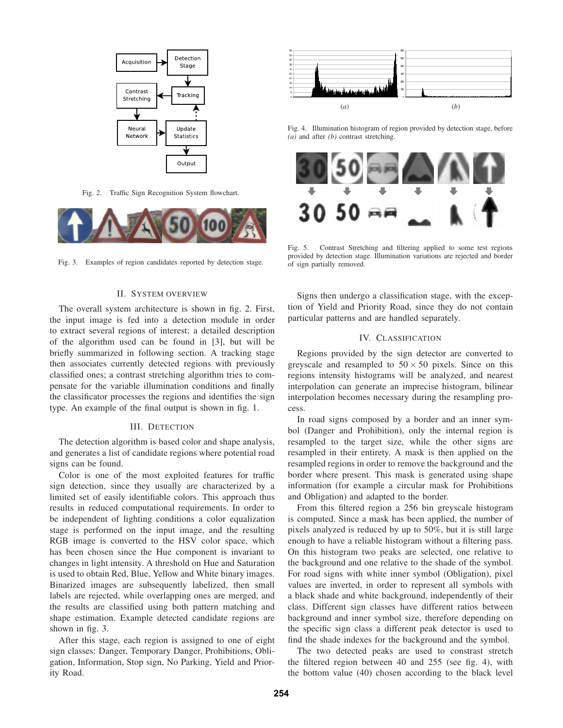

Fig. 2. Traffic Sign Recognition System flowchart.



Fig. 3. Examples of region candidates reported by detection stage.

# II. SYSTEM OVERVIEW

The overall system architecture is shown in fig. 2. First, the input image is fed into a detection module in order to extract several regions of interest; a detailed description of the algorithm used can be found in [3], but will be briefly summarized in following section. A tracking stage then associates currently detected regions with previously classified ones; a contrast stretching algorithm tries to compensate for the variable illumination conditions and finally the classificator processes the regions and identifies the sign type. An example of the final output is shown in fig. 1.

#### III. DETECTION

The detection algorithm is based color and shape analysis, and generates a list of candidate regions where potential road signs can be found.

Color is one of the most exploited features for traffic sign detection, since they usually are characterized by a limited set of easily identifiable colors. This approach thus results in reduced computational requirements. In order to be independent of lighting conditions a color equalization stage is performed on the input image, and the resulting RGB image is converted to the HSV color space, which has been chosen since the Hue component is invariant to changes in light intensity. A threshold on Hue and Saturation is used to obtain Red, Blue, Yellow and White binary images. Binarized images are subsequently labelized, then small labels are rejected, while overlapping ones are merged, and the results are classified using both pattern matching and shape estimation. Example detected candidate regions are shown in fig. 3.

After this stage, each region is assigned to one of eight sign classes: Danger, Temporary Danger, Prohibitions, Obligation, Information, Stop sign, No Parking, Yield and Priority Road.



Fig. 4. Illumination histogram of region provided by detection stage, before *(a)* and after *(b)* contrast stretching.



Fig. 5. Contrast Stretching and filtering applied to some test regions provided by detection stage. Illumination variations are rejected and border of sign partially removed.

Signs then undergo a classification stage, with the exception of Yield and Priority Road, since they do not contain particular patterns and are handled separately.

## IV. CLASSIFICATION

Regions provided by the sign detector are converted to greyscale and resampled to  $50 \times 50$  pixels. Since on this regions intensity histograms will be analyzed, and nearest interpolation can generate an imprecise histogram, bilinear interpolation becomes necessary during the resampling process.

In road signs composed by a border and an inner symbol (Danger and Prohibition), only the internal region is resampled to the target size, while the other signs are resampled in their entirety. A mask is then applied on the resampled regions in order to remove the background and the border where present. This mask is generated using shape information (for example a circular mask for Prohibitions and Obligation) and adapted to the border.

From this filtered region a 256 bin greyscale histogram is computed. Since a mask has been applied, the number of pixels analyzed is reduced by up to 50%, but it is still large enough to have a reliable histogram without a filtering pass. On this histogram two peaks are selected, one relative to the background and one relative to the shade of the symbol. For road signs with white inner symbol (Obligation), pixel values are inverted, in order to represent all symbols with a black shade and white background, independently of their class. Different sign classes have different ratios between background and inner symbol size, therefore depending on the specific sign class a different peak detector is used to find the shade indexes for the background and the symbol.

The two detected peaks are used to constrast stretch the filtered region between 40 and 255 (see fig. 4), with the bottom value (40) chosen according to the black level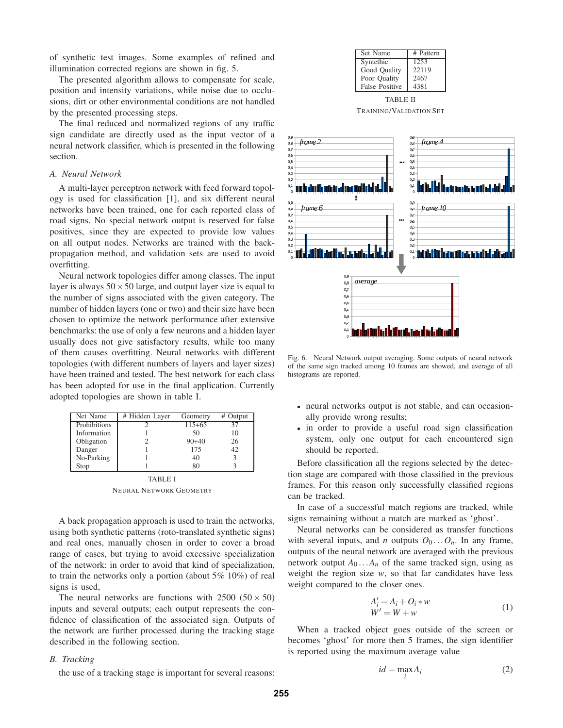of synthetic test images. Some examples of refined and illumination corrected regions are shown in fig. 5.

The presented algorithm allows to compensate for scale, position and intensity variations, while noise due to occlusions, dirt or other environmental conditions are not handled by the presented processing steps.

The final reduced and normalized regions of any traffic sign candidate are directly used as the input vector of a neural network classifier, which is presented in the following section.

### *A. Neural Network*

A multi-layer perceptron network with feed forward topology is used for classification [1], and six different neural networks have been trained, one for each reported class of road signs. No special network output is reserved for false positives, since they are expected to provide low values on all output nodes. Networks are trained with the backpropagation method, and validation sets are used to avoid overfitting.

Neural network topologies differ among classes. The input layer is always  $50 \times 50$  large, and output layer size is equal to the number of signs associated with the given category. The number of hidden layers (one or two) and their size have been chosen to optimize the network performance after extensive benchmarks: the use of only a few neurons and a hidden layer usually does not give satisfactory results, while too many of them causes overfitting. Neural networks with different topologies (with different numbers of layers and layer sizes) have been trained and tested. The best network for each class has been adopted for use in the final application. Currently adopted topologies are shown in table I.

| Net Name     | # Hidden Layer | Geometry   | # Output |
|--------------|----------------|------------|----------|
| Prohibitions |                | $115 + 65$ | 37       |
| Information  |                | 50         | 10       |
| Obligation   |                | $90 + 40$  | 26       |
| Danger       |                | 175        | 42.      |
| No-Parking   |                | 40         |          |
| Stop         |                | 80         |          |

TABLE I NEURAL NETWORK GEOMETRY

A back propagation approach is used to train the networks, using both synthetic patterns (roto-translated synthetic signs) and real ones, manually chosen in order to cover a broad range of cases, but trying to avoid excessive specialization of the network: in order to avoid that kind of specialization, to train the networks only a portion (about 5% 10%) of real signs is used,

The neural networks are functions with  $2500 (50 \times 50)$ inputs and several outputs; each output represents the confidence of classification of the associated sign. Outputs of the network are further processed during the tracking stage described in the following section.

#### *B. Tracking*

the use of a tracking stage is important for several reasons:



TRAINING/VALIDATION SET



Fig. 6. Neural Network output averaging. Some outputs of neural network of the same sign tracked among 10 frames are showed, and average of all histograms are reported.

- neural networks output is not stable, and can occasionally provide wrong results;
- in order to provide a useful road sign classification system, only one output for each encountered sign should be reported.

Before classification all the regions selected by the detection stage are compared with those classified in the previous frames. For this reason only successfully classified regions can be tracked.

In case of a successful match regions are tracked, while signs remaining without a match are marked as 'ghost'.

Neural networks can be considered as transfer functions with several inputs, and *n* outputs  $O_0 \ldots O_n$ . In any frame, outputs of the neural network are averaged with the previous network output  $A_0 \ldots A_n$  of the same tracked sign, using as weight the region size  $w$ , so that far candidates have less weight compared to the closer ones.

$$
A'_{i} = A_{i} + O_{i} * w
$$
  
\n
$$
W' = W + w
$$
\n(1)

 $A_i$  (2)

When a tracked object goes outside of the screen or becomes 'ghost' for more then 5 frames, the sign identifier is reported using the maximum average value

 $id = \max_i$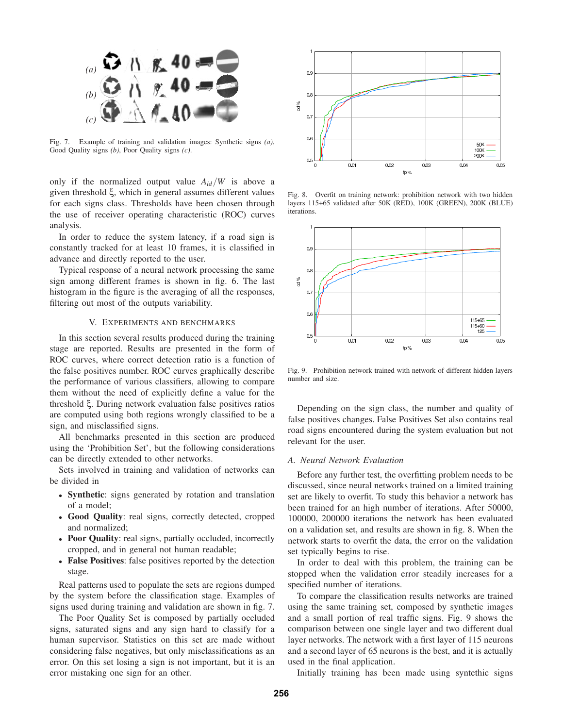

Fig. 7. Example of training and validation images: Synthetic signs *(a)*, Good Quality signs *(b)*, Poor Quality signs *(c)*.

only if the normalized output value  $A_{id}/W$  is above a given threshold ξ, which in general assumes different values for each signs class. Thresholds have been chosen through the use of receiver operating characteristic (ROC) curves analysis.

In order to reduce the system latency, if a road sign is constantly tracked for at least 10 frames, it is classified in advance and directly reported to the user.

Typical response of a neural network processing the same sign among different frames is shown in fig. 6. The last histogram in the figure is the averaging of all the responses, filtering out most of the outputs variability.

# V. EXPERIMENTS AND BENCHMARKS

In this section several results produced during the training stage are reported. Results are presented in the form of ROC curves, where correct detection ratio is a function of the false positives number. ROC curves graphically describe the performance of various classifiers, allowing to compare them without the need of explicitly define a value for the threshold ξ. During network evaluation false positives ratios are computed using both regions wrongly classified to be a sign, and misclassified signs.

All benchmarks presented in this section are produced using the 'Prohibition Set', but the following considerations can be directly extended to other networks.

Sets involved in training and validation of networks can be divided in

- **Synthetic**: signs generated by rotation and translation of a model;
- **Good Quality**: real signs, correctly detected, cropped and normalized;
- **Poor Quality**: real signs, partially occluded, incorrectly cropped, and in general not human readable;
- **False Positives**: false positives reported by the detection stage.

Real patterns used to populate the sets are regions dumped by the system before the classification stage. Examples of signs used during training and validation are shown in fig. 7.

The Poor Quality Set is composed by partially occluded signs, saturated signs and any sign hard to classify for a human supervisor. Statistics on this set are made without considering false negatives, but only misclassifications as an error. On this set losing a sign is not important, but it is an error mistaking one sign for an other.



Fig. 8. Overfit on training network: prohibition network with two hidden layers 115+65 validated after 50K (RED), 100K (GREEN), 200K (BLUE) iterations.



Fig. 9. Prohibition network trained with network of different hidden layers number and size.

Depending on the sign class, the number and quality of false positives changes. False Positives Set also contains real road signs encountered during the system evaluation but not relevant for the user.

## *A. Neural Network Evaluation*

Before any further test, the overfitting problem needs to be discussed, since neural networks trained on a limited training set are likely to overfit. To study this behavior a network has been trained for an high number of iterations. After 50000, 100000, 200000 iterations the network has been evaluated on a validation set, and results are shown in fig. 8. When the network starts to overfit the data, the error on the validation set typically begins to rise.

In order to deal with this problem, the training can be stopped when the validation error steadily increases for a specified number of iterations.

To compare the classification results networks are trained using the same training set, composed by synthetic images and a small portion of real traffic signs. Fig. 9 shows the comparison between one single layer and two different dual layer networks. The network with a first layer of 115 neurons and a second layer of 65 neurons is the best, and it is actually used in the final application.

Initially training has been made using syntethic signs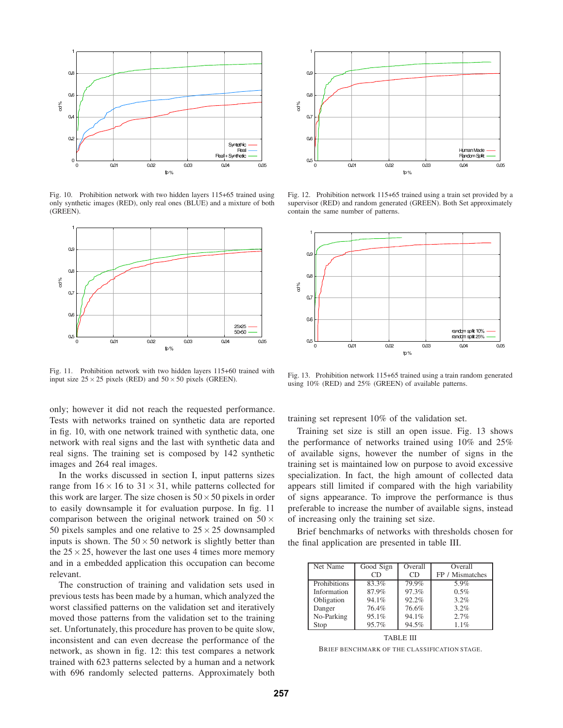

Fig. 10. Prohibition network with two hidden layers 115+65 trained using only synthetic images (RED), only real ones (BLUE) and a mixture of both (GREEN).



Fig. 11. Prohibition network with two hidden layers 115+60 trained with input size  $25 \times 25$  pixels (RED) and  $50 \times 50$  pixels (GREEN).

only; however it did not reach the requested performance. Tests with networks trained on synthetic data are reported in fig. 10, with one network trained with synthetic data, one network with real signs and the last with synthetic data and real signs. The training set is composed by 142 synthetic images and 264 real images.

In the works discussed in section I, input patterns sizes range from  $16 \times 16$  to  $31 \times 31$ , while patterns collected for this work are larger. The size chosen is  $50 \times 50$  pixels in order to easily downsample it for evaluation purpose. In fig. 11 comparison between the original network trained on  $50 \times$ 50 pixels samples and one relative to  $25 \times 25$  downsampled inputs is shown. The  $50 \times 50$  network is slightly better than the  $25 \times 25$ , however the last one uses 4 times more memory and in a embedded application this occupation can become relevant.

The construction of training and validation sets used in previous tests has been made by a human, which analyzed the worst classified patterns on the validation set and iteratively moved those patterns from the validation set to the training set. Unfortunately, this procedure has proven to be quite slow, inconsistent and can even decrease the performance of the network, as shown in fig. 12: this test compares a network trained with 623 patterns selected by a human and a network with 696 randomly selected patterns. Approximately both



Fig. 12. Prohibition network 115+65 trained using a train set provided by a supervisor (RED) and random generated (GREEN). Both Set approximately contain the same number of patterns.



Fig. 13. Prohibition network 115+65 trained using a train random generated using 10% (RED) and 25% (GREEN) of available patterns.

training set represent 10% of the validation set.

Training set size is still an open issue. Fig. 13 shows the performance of networks trained using 10% and 25% of available signs, however the number of signs in the training set is maintained low on purpose to avoid excessive specialization. In fact, the high amount of collected data appears still limited if compared with the high variability of signs appearance. To improve the performance is thus preferable to increase the number of available signs, instead of increasing only the training set size.

Brief benchmarks of networks with thresholds chosen for the final application are presented in table III.

| Net Name     | Good Sign | Overall | Overall         |
|--------------|-----------|---------|-----------------|
|              | CD        | CD      | FP / Mismatches |
| Prohibitions | 83.3%     | 79.9%   | 5.9%            |
| Information  | 87.9%     | 97.3%   | 0.5%            |
| Obligation   | 94.1%     | 92.2%   | $3.2\%$         |
| Danger       | 76.4%     | 76.6%   | $3.2\%$         |
| No-Parking   | 95.1%     | 94.1%   | 2.7%            |
| Stop         | 95.7%     | 94.5%   | 1.1%            |

TABLE III BRIEF BENCHMARK OF THE CLASS IFICATION STAGE.